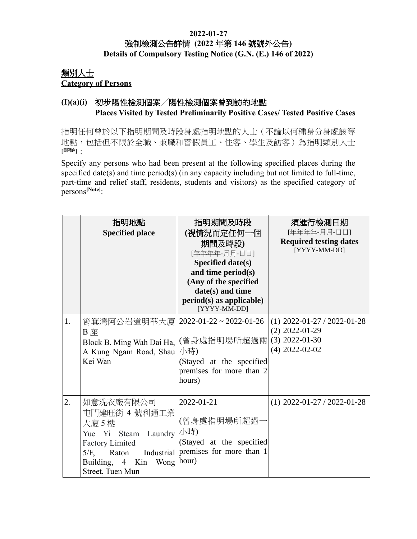#### **2022-01-27** 強制檢測公告詳情 **(2022** 年第 **146** 號號外公告**) Details of Compulsory Testing Notice (G.N. (E.) 146 of 2022)**

## 類別人士 **Category of Persons**

### **(I)(a)(i)** 初步陽性檢測個案╱陽性檢測個案曾到訪的地點 **Places Visited by Tested Preliminarily Positive Cases/ Tested Positive Cases**

指明任何曾於以下指明期間及時段身處指明地點的人士(不論以何種身分身處該等 地點,包括但不限於全職、兼職和替假員工、住客、學生及訪客)為指明類別人士 **[**見附註**]**:

Specify any persons who had been present at the following specified places during the specified date(s) and time period(s) (in any capacity including but not limited to full-time, part-time and relief staff, residents, students and visitors) as the specified category of persons**[Note]**:

|    | 指明地點<br><b>Specified place</b>                                                                                                                                                   | 指明期間及時段<br>(視情況而定任何一個<br>期間及時段)<br>[年年年年-月月-日日]<br><b>Specified date(s)</b><br>and time period(s)<br>(Any of the specified<br>date(s) and time<br>$period(s)$ as applicable)<br>[YYYY-MM-DD] | 須進行檢測日期<br>[年年年年-月月-日日]<br><b>Required testing dates</b><br>[YYYY-MM-DD]                  |
|----|----------------------------------------------------------------------------------------------------------------------------------------------------------------------------------|----------------------------------------------------------------------------------------------------------------------------------------------------------------------------------------------|-------------------------------------------------------------------------------------------|
| 1. | 筲箕灣阿公岩道明華大廈 <br>B 座<br>Block B, Ming Wah Dai Ha,<br>A Kung Ngam Road, Shau<br>Kei Wan                                                                                            | $2022 - 01 - 22 \approx 2022 - 01 - 26$<br>(曾身處指明場所超過兩)<br>小時)<br>(Stayed at the specified<br>premises for more than 2<br>hours)                                                             | $(1)$ 2022-01-27 / 2022-01-28<br>$(2)$ 2022-01-29<br>$(3)$ 2022-01-30<br>$(4)$ 2022-02-02 |
| 2. | 如意洗衣廠有限公司<br>屯門建旺街 4 號利通工業<br>大廈 5 樓<br>Yue Yi Steam Laundry<br><b>Factory Limited</b><br>Industrial<br>$5/F$ ,<br>Raton<br>Wong hour)<br>Building, 4<br>Kin<br>Street, Tuen Mun | 2022-01-21<br>(曾身處指明場所超過-<br>小時)<br>(Stayed at the specified<br>premises for more than 1                                                                                                     | $(1)$ 2022-01-27 / 2022-01-28                                                             |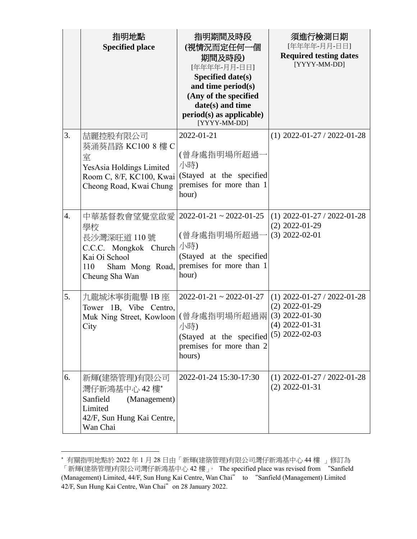|                  | 指明地點<br><b>Specified place</b>                                                                                           | 指明期間及時段<br>(視情況而定任何一個<br>期間及時段)<br>[年年年年-月月-日日]<br>Specified date(s)<br>and time period(s)<br>(Any of the specified<br>date(s) and time<br>$period(s)$ as applicable)<br>[YYYY-MM-DD] | 須進行檢測日期<br>[年年年年-月月-日日]<br><b>Required testing dates</b><br>[YYYY-MM-DD]                  |
|------------------|--------------------------------------------------------------------------------------------------------------------------|---------------------------------------------------------------------------------------------------------------------------------------------------------------------------------------|-------------------------------------------------------------------------------------------|
| 3.               | 喆麗控股有限公司<br>葵涌葵昌路 KC100 8 樓 C<br>室<br>YesAsia Holdings Limited<br>Room C, 8/F, KC100, Kwai<br>Cheong Road, Kwai Chung    | 2022-01-21<br>(曾身處指明場所超過<br>小時)<br>(Stayed at the specified<br>premises for more than 1<br>hour)                                                                                      | $(1)$ 2022-01-27 / 2022-01-28                                                             |
| $\overline{4}$ . | 中華基督教會望覺堂啟愛 <br>學校<br>長沙灣深旺道 110 號<br>C.C.C. Mongkok Church<br>Kai Oi School<br>Sham Mong Road,<br>110<br>Cheung Sha Wan | $2022 - 01 - 21 \approx 2022 - 01 - 25$<br>(曾身處指明場所超過-<br>小時)<br>(Stayed at the specified<br>premises for more than 1<br>hour)                                                        | $(1)$ 2022-01-27 / 2022-01-28<br>$(2)$ 2022-01-29<br>$(3)$ 2022-02-01                     |
| 5.               | 九龍城沐寧街龍譽 1B 座<br>Tower 1B, Vibe Centro,<br>Muk Ning Street, Kowloon<br>City                                              | $2022 - 01 - 21 \approx 2022 - 01 - 27$<br>(曾身處指明場所超過兩 <br>小時)<br>(Stayed at the specified $(5)$ 2022-02-03<br>premises for more than 2<br>hours)                                     | $(1)$ 2022-01-27 / 2022-01-28<br>$(2)$ 2022-01-29<br>$(3)$ 2022-01-30<br>$(4)$ 2022-01-31 |
| 6.               | 新輝(建築管理)有限公司<br>灣仔新鴻基中心 42樓*<br>Sanfield<br>(Management)<br>Limited<br>42/F, Sun Hung Kai Centre,<br>Wan Chai            | 2022-01-24 15:30-17:30                                                                                                                                                                | $(1)$ 2022-01-27 / 2022-01-28<br>$(2)$ 2022-01-31                                         |

有關指明地點於 2022 年 1 月 28 日由「新輝(建築管理)有限公司灣仔新鴻基中心 44 樓 」修訂為 「新輝(建築管理)有限公司灣仔新鴻基中心 42 樓」。 The specified place was revised from "Sanfield (Management) Limited, 44/F, Sun Hung Kai Centre, Wan Chai" to "Sanfield (Management) Limited 42/F, Sun Hung Kai Centre, Wan Chai"on 28 January 2022.

 $\overline{a}$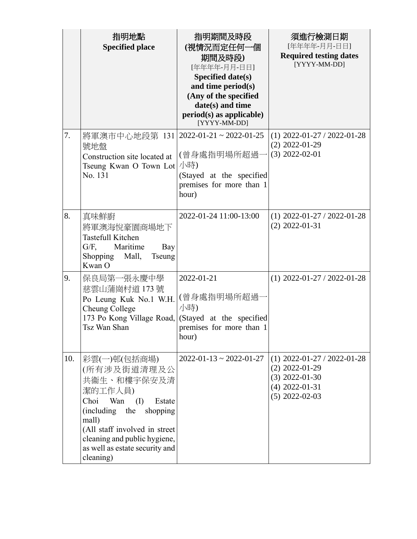| 7.  | 指明地點<br><b>Specified place</b>                                                                                                                                                                                                               | 指明期間及時段<br>(視情況而定任何一個<br>期間及時段)<br>[年年年年-月月-日日]<br>Specified date(s)<br>and time period(s)<br>(Any of the specified<br>date(s) and time<br>period(s) as applicable)<br>[YYYY-MM-DD] | 須進行檢測日期<br>[年年年年-月月-日日]<br><b>Required testing dates</b><br>[YYYY-MM-DD]<br>$(1)$ 2022-01-27 / 2022-01-28     |
|-----|----------------------------------------------------------------------------------------------------------------------------------------------------------------------------------------------------------------------------------------------|-------------------------------------------------------------------------------------------------------------------------------------------------------------------------------------|---------------------------------------------------------------------------------------------------------------|
|     | 將軍澳市中心地段第 131   2022-01-21~2022-01-25<br>號地盤<br>Construction site located at<br>Tseung Kwan O Town Lot<br>No. 131                                                                                                                            | (曾身處指明場所超過-<br>小時)<br>(Stayed at the specified<br>premises for more than 1<br>hour)                                                                                                 | $(2)$ 2022-01-29<br>$(3)$ 2022-02-01                                                                          |
| 8.  | 真味鮮廚<br>將軍澳海悅豪園商場地下<br><b>Tastefull Kitchen</b><br>Maritime<br>$G/F$ ,<br>Bay<br>Shopping<br>Mall,<br><b>Tseung</b><br>Kwan O                                                                                                                | 2022-01-24 11:00-13:00                                                                                                                                                              | $(1)$ 2022-01-27 / 2022-01-28<br>$(2)$ 2022-01-31                                                             |
| 9.  | 保良局第一張永慶中學<br>慈雲山蒲崗村道 173號<br>Po Leung Kuk No.1 W.H.<br>Cheung College<br>173 Po Kong Village Road,<br>Tsz Wan Shan                                                                                                                          | 2022-01-21<br>(曾身處指明場所超過<br>小時)<br>(Stayed at the specified<br>premises for more than 1<br>hour)                                                                                    | $(1)$ 2022-01-27 / 2022-01-28                                                                                 |
| 10. | 彩雲(一)邨(包括商場)<br>(所有涉及街道清理及公<br>共衞生、和樓宇保安及清<br>潔的工作人員)<br>Choi<br>Wan<br>Estate<br>(I)<br>(including the<br>shopping<br>mall)<br>(All staff involved in street<br>cleaning and public hygiene,<br>as well as estate security and<br>cleaning) | $2022 - 01 - 13 \approx 2022 - 01 - 27$                                                                                                                                             | $(1)$ 2022-01-27 / 2022-01-28<br>$(2)$ 2022-01-29<br>$(3)$ 2022-01-30<br>$(4)$ 2022-01-31<br>$(5)$ 2022-02-03 |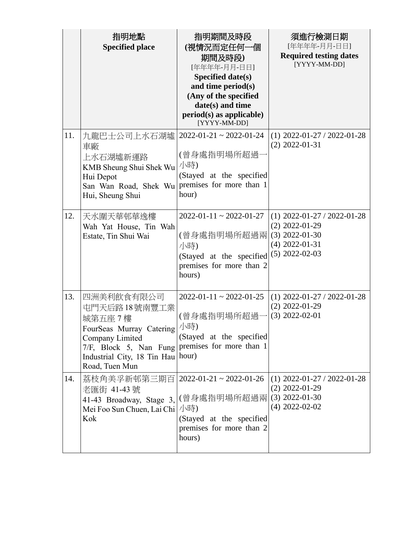|     | 指明地點                                                                     | 指明期間及時段                                   | 須進行檢測日期                                           |
|-----|--------------------------------------------------------------------------|-------------------------------------------|---------------------------------------------------|
|     | <b>Specified place</b>                                                   | (視情況而定任何一個                                | [年年年年-月月-日日]<br><b>Required testing dates</b>     |
|     |                                                                          | 期間及時段)<br>[年年年年-月月-日日]                    | [YYYY-MM-DD]                                      |
|     |                                                                          | Specified date(s)                         |                                                   |
|     |                                                                          | and time period(s)                        |                                                   |
|     |                                                                          | (Any of the specified<br>date(s) and time |                                                   |
|     |                                                                          | $period(s)$ as applicable)                |                                                   |
|     |                                                                          | [YYYY-MM-DD]                              |                                                   |
| 11. | 九龍巴士公司上水石湖墟   2022-01-21~2022-01-24                                      |                                           | $(1)$ 2022-01-27 / 2022-01-28<br>$(2)$ 2022-01-31 |
|     | 車廠<br>上水石湖墟新運路                                                           | (曾身處指明場所超過·                               |                                                   |
|     | KMB Sheung Shui Shek Wu                                                  | 小時)                                       |                                                   |
|     | Hui Depot                                                                | (Stayed at the specified                  |                                                   |
|     | San Wan Road, Shek Wu premises for more than 1<br>Hui, Sheung Shui       | hour)                                     |                                                   |
|     |                                                                          |                                           |                                                   |
| 12. | 天水圍天華邨華逸樓                                                                | $2022 - 01 - 11 \approx 2022 - 01 - 27$   | $(1)$ 2022-01-27 / 2022-01-28                     |
|     | Wah Yat House, Tin Wah                                                   |                                           | $(2)$ 2022-01-29                                  |
|     | Estate, Tin Shui Wai                                                     | (曾身處指明場所超過兩 <br>小時)                       | $(3)$ 2022-01-30<br>$(4)$ 2022-01-31              |
|     |                                                                          | (Stayed at the specified                  | $(5)$ 2022-02-03                                  |
|     |                                                                          | premises for more than 2                  |                                                   |
|     |                                                                          | hours)                                    |                                                   |
| 13. | 四洲美利飲食有限公司                                                               | $2022 - 01 - 11 \approx 2022 - 01 - 25$   | $(1)$ 2022-01-27 / 2022-01-28                     |
|     | 屯門天后路18號南豐工業                                                             |                                           | $(2)$ 2022-01-29                                  |
|     | 城第五座7樓                                                                   | (曾身處指明場所超過-                               | $(3)$ 2022-02-01                                  |
|     | FourSeas Murray Catering                                                 | 小時)                                       |                                                   |
|     | Company Limited<br>7/F, Block 5, Nan Fung premises for more than 1       | (Stayed at the specified                  |                                                   |
|     | Industrial City, 18 Tin Hau   hour)                                      |                                           |                                                   |
|     | Road, Tuen Mun                                                           |                                           |                                                   |
| 14. | 荔枝角美孚新邨第三期百   2022-01-21~2022-01-26                                      |                                           | $(1)$ 2022-01-27 / 2022-01-28                     |
|     | 老匯街 41-43號                                                               |                                           | $(2)$ 2022-01-29<br>$(3)$ 2022-01-30              |
|     | 41-43 Broadway, Stage 3, (曾身處指明場所超過兩<br>Mei Foo Sun Chuen, Lai Chi   小時) |                                           | $(4)$ 2022-02-02                                  |
|     | Kok                                                                      | (Stayed at the specified                  |                                                   |
|     |                                                                          | premises for more than 2                  |                                                   |
|     |                                                                          | hours)                                    |                                                   |
|     |                                                                          |                                           |                                                   |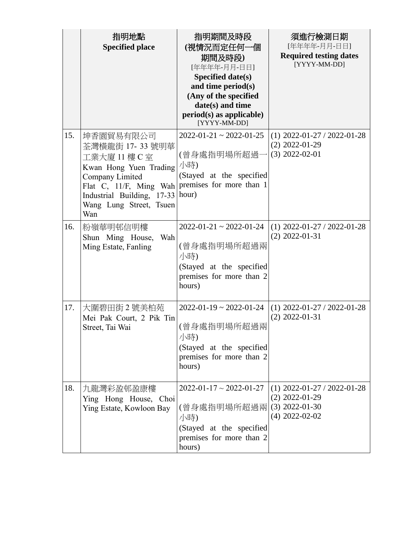|     | 指明地點                                              | 指明期間及時段                                              | 須進行檢測日期                                       |
|-----|---------------------------------------------------|------------------------------------------------------|-----------------------------------------------|
|     | <b>Specified place</b>                            | (視情況而定任何一個                                           | [年年年年-月月-日日]                                  |
|     |                                                   | 期間及時段)                                               | <b>Required testing dates</b><br>[YYYY-MM-DD] |
|     |                                                   | [年年年年-月月-日日]                                         |                                               |
|     |                                                   | Specified date(s)<br>and time period(s)              |                                               |
|     |                                                   | (Any of the specified                                |                                               |
|     |                                                   | date(s) and time                                     |                                               |
|     |                                                   | $period(s)$ as applicable)                           |                                               |
|     |                                                   | [YYYY-MM-DD]                                         |                                               |
| 15. | 坤香園貿易有限公司                                         | $2022 - 01 - 21 \approx 2022 - 01 - 25$              | $(1)$ 2022-01-27 / 2022-01-28                 |
|     | 荃灣橫龍街 17-33號明華                                    |                                                      | $(2)$ 2022-01-29                              |
|     | 工業大廈 11 樓 C 室                                     | (曾身處指明場所超過                                           | $(3)$ 2022-02-01                              |
|     | Kwan Hong Yuen Trading                            | 小時)                                                  |                                               |
|     | Company Limited<br>Flat C, 11/F, Ming Wah         | (Stayed at the specified<br>premises for more than 1 |                                               |
|     | Industrial Building, 17-33 hour)                  |                                                      |                                               |
|     | Wang Lung Street, Tsuen                           |                                                      |                                               |
|     | Wan                                               |                                                      |                                               |
| 16. | 粉嶺華明邨信明樓                                          | $2022 - 01 - 21 \approx 2022 - 01 - 24$              | $(1)$ 2022-01-27 / 2022-01-28                 |
|     | Shun Ming House,<br>Wah                           |                                                      | $(2)$ 2022-01-31                              |
|     | Ming Estate, Fanling                              | (曾身處指明場所超過兩<br>小時)                                   |                                               |
|     |                                                   | (Stayed at the specified                             |                                               |
|     |                                                   | premises for more than 2                             |                                               |
|     |                                                   | hours)                                               |                                               |
|     |                                                   |                                                      |                                               |
| 17. | 大圍碧田街2號美柏苑                                        | $2022 - 01 - 19 \approx 2022 - 01 - 24$              | $(1)$ 2022-01-27 / 2022-01-28                 |
|     | Mei Pak Court, 2 Pik Tin                          | (曾身處指明場所超過兩                                          | $(2)$ 2022-01-31                              |
|     | Street, Tai Wai                                   | 小時)                                                  |                                               |
|     |                                                   | (Stayed at the specified                             |                                               |
|     |                                                   | premises for more than 2                             |                                               |
|     |                                                   | hours)                                               |                                               |
|     |                                                   |                                                      |                                               |
| 18. | 九龍灣彩盈邨盈康樓                                         | $2022 - 01 - 17 \sim 2022 - 01 - 27$                 | $(1)$ 2022-01-27 / 2022-01-28                 |
|     | Ying Hong House, Choi<br>Ying Estate, Kowloon Bay | (曾身處指明場所超過兩                                          | $(2)$ 2022-01-29<br>$(3)$ 2022-01-30          |
|     |                                                   | 小時)                                                  | $(4)$ 2022-02-02                              |
|     |                                                   | (Stayed at the specified                             |                                               |
|     |                                                   | premises for more than 2                             |                                               |
|     |                                                   | hours)                                               |                                               |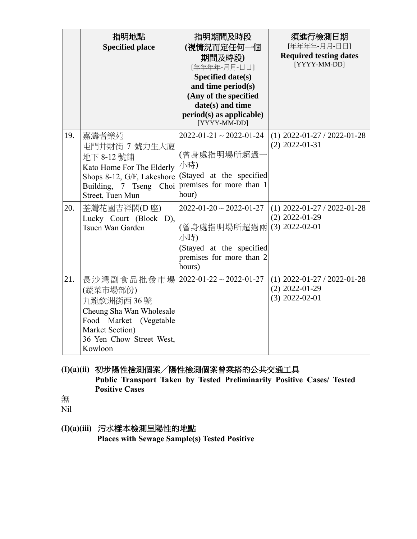|     | 指明地點<br><b>Specified place</b>                                                                                                                                               | 指明期間及時段<br>(視情況而定任何一個<br>期間及時段)<br>[年年年年-月月-日日]<br>Specified date(s)<br>and time period(s)<br>(Any of the specified<br>date(s) and time<br>$period(s)$ as applicable)<br>[YYYY-MM-DD] | 須進行檢測日期<br>[年年年年-月月-日日]<br><b>Required testing dates</b><br>[YYYY-MM-DD] |
|-----|------------------------------------------------------------------------------------------------------------------------------------------------------------------------------|---------------------------------------------------------------------------------------------------------------------------------------------------------------------------------------|--------------------------------------------------------------------------|
| 19. | 嘉濤耆樂苑<br>屯門井財街 7 號力生大廈<br>地下 8-12 號鋪<br>Kato Home For The Elderly<br>Shops 8-12, G/F, Lakeshore<br>Building, 7 Tseng Choi<br>Street, Tuen Mun                                | $2022 - 01 - 21 \approx 2022 - 01 - 24$<br>(曾身處指明場所超過<br>小時)<br>(Stayed at the specified<br>premises for more than 1<br>hour)                                                         | $(1)$ 2022-01-27 / 2022-01-28<br>$(2)$ 2022-01-31                        |
| 20. | 荃灣花園吉祥閣(D 座)<br>Lucky Court (Block D),<br>Tsuen Wan Garden                                                                                                                   | $2022 - 01 - 20 \sim 2022 - 01 - 27$<br>(曾身處指明場所超過兩<br>小時)<br>(Stayed at the specified<br>premises for more than 2<br>hours)                                                          | $(1)$ 2022-01-27 / 2022-01-28<br>$(2)$ 2022-01-29<br>$(3)$ 2022-02-01    |
| 21. | 長沙灣副食品批發市場   2022-01-22~2022-01-27<br>(蔬菜市場部份)<br>九龍欽洲街西 36號<br>Cheung Sha Wan Wholesale<br>Food Market (Vegetable<br>Market Section)<br>36 Yen Chow Street West,<br>Kowloon |                                                                                                                                                                                       | $(1)$ 2022-01-27 / 2022-01-28<br>$(2)$ 2022-01-29<br>$(3)$ 2022-02-01    |

**(I)(a)(ii)** 初步陽性檢測個案╱陽性檢測個案曾乘搭的公共交通工具 **Public Transport Taken by Tested Preliminarily Positive Cases/ Tested Positive Cases**

無

Nil

**(I)(a)(iii)** 污水樣本檢測呈陽性的地點 **Places with Sewage Sample(s) Tested Positive**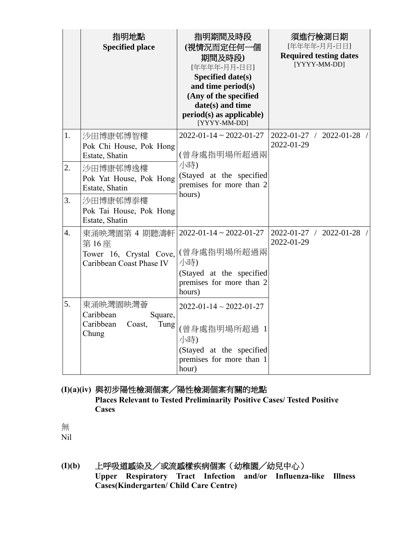|    | 指明地點<br><b>Specified place</b>                                               | 指明期間及時段<br>(視情況而定任何一個<br>期間及時段)<br>[年年年年-月月-日日]<br><b>Specified date(s)</b><br>and time period(s)<br>(Any of the specified<br>date(s) and time<br>period(s) as applicable)<br>[YYYY-MM-DD] | 須進行檢測日期<br>[年年年年-月月-日日]<br><b>Required testing dates</b><br>[YYYY-MM-DD] |
|----|------------------------------------------------------------------------------|--------------------------------------------------------------------------------------------------------------------------------------------------------------------------------------------|--------------------------------------------------------------------------|
| 1. | 沙田博康邨博智樓<br>Pok Chi House, Pok Hong<br>Estate, Shatin                        | $2022 - 01 - 14 \approx 2022 - 01 - 27$<br>(曾身處指明場所超過兩                                                                                                                                     | 2022-01-27 / 2022-01-28 /<br>2022-01-29                                  |
| 2. | 沙田博康邨博逸樓<br>Pok Yat House, Pok Hong<br>Estate, Shatin                        | 小時)<br>(Stayed at the specified<br>premises for more than 2<br>hours)                                                                                                                      |                                                                          |
| 3. | 沙田博康邨博泰樓<br>Pok Tai House, Pok Hong<br>Estate, Shatin                        |                                                                                                                                                                                            |                                                                          |
| 4. | 東涌映灣園第 4 期聽濤軒<br>第16座<br>Tower 16, Crystal Cove,<br>Caribbean Coast Phase IV | $2022 - 01 - 14 \approx 2022 - 01 - 27$<br>(曾身處指明場所超過兩<br>小時)<br>(Stayed at the specified<br>premises for more than 2<br>hours)                                                            | 2022-01-27 / 2022-01-28 /<br>2022-01-29                                  |
| 5. | 東涌映灣園映灣薈<br>Caribbean<br>Square,<br>Caribbean<br>Tung<br>Coast,<br>Chung     | $2022 - 01 - 14 \sim 2022 - 01 - 27$<br>(曾身處指明場所超過 1<br>小時)<br>(Stayed at the specified<br>premises for more than 1<br>hour)                                                               |                                                                          |

### **(I)(a)(iv)** 與初步陽性檢測個案╱陽性檢測個案有關的地點 **Places Relevant to Tested Preliminarily Positive Cases/ Tested Positive Cases**

無 Nil

**(I)(b)** 上呼吸道感染及/或流感樣疾病個案(幼稚園╱幼兒中心) **Upper Respiratory Tract Infection and/or Influenza-like Illness Cases(Kindergarten/ Child Care Centre)**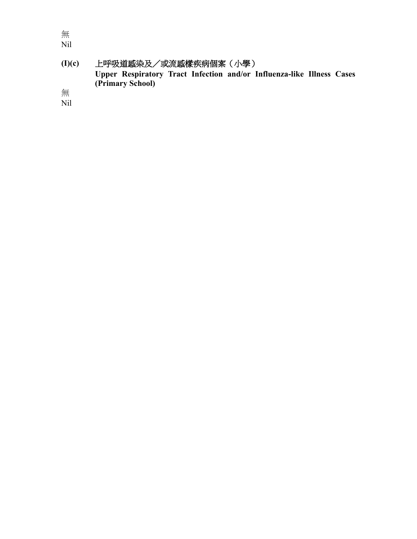無 Nil

**(I)(c)** 上呼吸道感染及/或流感樣疾病個案(小學) **Upper Respiratory Tract Infection and/or Influenza-like Illness Cases (Primary School)**

無 Nil